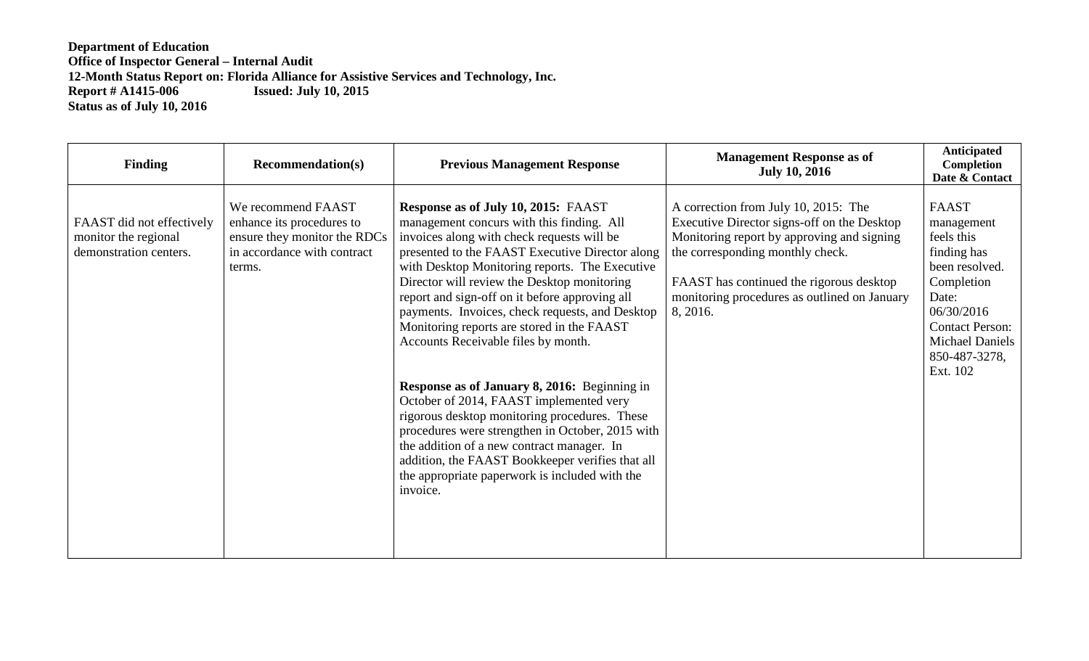**Department of Education Office of Inspector General – Internal Audit 12-Month Status Report on: Florida Alliance for Assistive Services and Technology, Inc. Report # A1415-006 Issued: July 10, 2015 Status as of July 10, 2016**

| <b>Finding</b>                                                              | <b>Recommendation(s)</b>                                                                                                 | <b>Previous Management Response</b>                                                                                                                                                                                                                                                                                                                                                                                                                                                                                                                                                                                                                                                                                                                                                                                                                 | <b>Management Response as of</b><br><b>July 10, 2016</b>                                                                                                                                                                                                                      | Anticipated<br>Completion<br>Date & Contact                                                                                                                                              |
|-----------------------------------------------------------------------------|--------------------------------------------------------------------------------------------------------------------------|-----------------------------------------------------------------------------------------------------------------------------------------------------------------------------------------------------------------------------------------------------------------------------------------------------------------------------------------------------------------------------------------------------------------------------------------------------------------------------------------------------------------------------------------------------------------------------------------------------------------------------------------------------------------------------------------------------------------------------------------------------------------------------------------------------------------------------------------------------|-------------------------------------------------------------------------------------------------------------------------------------------------------------------------------------------------------------------------------------------------------------------------------|------------------------------------------------------------------------------------------------------------------------------------------------------------------------------------------|
| FAAST did not effectively<br>monitor the regional<br>demonstration centers. | We recommend FAAST<br>enhance its procedures to<br>ensure they monitor the RDCs<br>in accordance with contract<br>terms. | Response as of July 10, 2015: FAAST<br>management concurs with this finding. All<br>invoices along with check requests will be<br>presented to the FAAST Executive Director along<br>with Desktop Monitoring reports. The Executive<br>Director will review the Desktop monitoring<br>report and sign-off on it before approving all<br>payments. Invoices, check requests, and Desktop<br>Monitoring reports are stored in the FAAST<br>Accounts Receivable files by month.<br><b>Response as of January 8, 2016:</b> Beginning in<br>October of 2014, FAAST implemented very<br>rigorous desktop monitoring procedures. These<br>procedures were strengthen in October, 2015 with<br>the addition of a new contract manager. In<br>addition, the FAAST Bookkeeper verifies that all<br>the appropriate paperwork is included with the<br>invoice. | A correction from July 10, 2015: The<br>Executive Director signs-off on the Desktop<br>Monitoring report by approving and signing<br>the corresponding monthly check.<br>FAAST has continued the rigorous desktop<br>monitoring procedures as outlined on January<br>8, 2016. | <b>FAAST</b><br>management<br>feels this<br>finding has<br>been resolved.<br>Completion<br>Date:<br>06/30/2016<br><b>Contact Person:</b><br>Michael Daniels<br>850-487-3278,<br>Ext. 102 |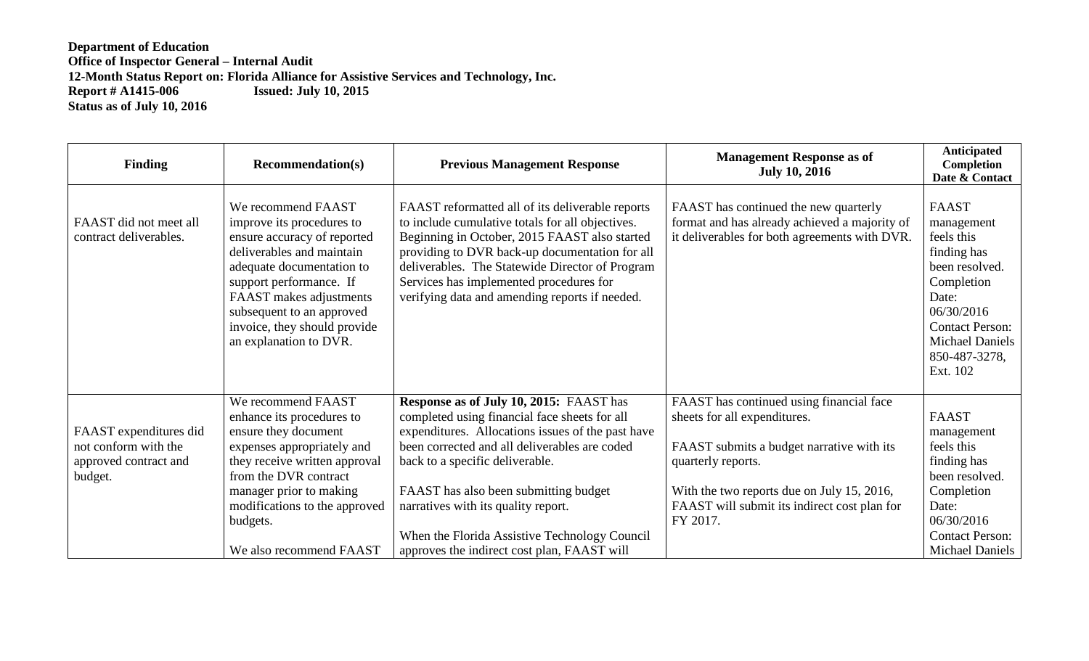## **Department of Education Office of Inspector General – Internal Audit 12-Month Status Report on: Florida Alliance for Assistive Services and Technology, Inc. Report # A1415-006 Issued: July 10, 2015 Status as of July 10, 2016**

| <b>Finding</b>                                                                     | <b>Recommendation(s)</b>                                                                                                                                                                                                                                                              | <b>Previous Management Response</b>                                                                                                                                                                                                                                                                                                                                                                                      | <b>Management Response as of</b><br><b>July 10, 2016</b>                                                                                                                                                                                              | Anticipated<br>Completion<br>Date & Contact                                                                                                                                                     |
|------------------------------------------------------------------------------------|---------------------------------------------------------------------------------------------------------------------------------------------------------------------------------------------------------------------------------------------------------------------------------------|--------------------------------------------------------------------------------------------------------------------------------------------------------------------------------------------------------------------------------------------------------------------------------------------------------------------------------------------------------------------------------------------------------------------------|-------------------------------------------------------------------------------------------------------------------------------------------------------------------------------------------------------------------------------------------------------|-------------------------------------------------------------------------------------------------------------------------------------------------------------------------------------------------|
| FAAST did not meet all<br>contract deliverables.                                   | We recommend FAAST<br>improve its procedures to<br>ensure accuracy of reported<br>deliverables and maintain<br>adequate documentation to<br>support performance. If<br>FAAST makes adjustments<br>subsequent to an approved<br>invoice, they should provide<br>an explanation to DVR. | FAAST reformatted all of its deliverable reports<br>to include cumulative totals for all objectives.<br>Beginning in October, 2015 FAAST also started<br>providing to DVR back-up documentation for all<br>deliverables. The Statewide Director of Program<br>Services has implemented procedures for<br>verifying data and amending reports if needed.                                                                  | FAAST has continued the new quarterly<br>format and has already achieved a majority of<br>it deliverables for both agreements with DVR.                                                                                                               | <b>FAAST</b><br>management<br>feels this<br>finding has<br>been resolved.<br>Completion<br>Date:<br>06/30/2016<br><b>Contact Person:</b><br><b>Michael Daniels</b><br>850-487-3278,<br>Ext. 102 |
| FAAST expenditures did<br>not conform with the<br>approved contract and<br>budget. | We recommend FAAST<br>enhance its procedures to<br>ensure they document<br>expenses appropriately and<br>they receive written approval<br>from the DVR contract<br>manager prior to making<br>modifications to the approved<br>budgets.<br>We also recommend FAAST                    | <b>Response as of July 10, 2015: FAAST has</b><br>completed using financial face sheets for all<br>expenditures. Allocations issues of the past have<br>been corrected and all deliverables are coded<br>back to a specific deliverable.<br>FAAST has also been submitting budget<br>narratives with its quality report.<br>When the Florida Assistive Technology Council<br>approves the indirect cost plan, FAAST will | FAAST has continued using financial face<br>sheets for all expenditures.<br>FAAST submits a budget narrative with its<br>quarterly reports.<br>With the two reports due on July 15, 2016,<br>FAAST will submit its indirect cost plan for<br>FY 2017. | <b>FAAST</b><br>management<br>feels this<br>finding has<br>been resolved.<br>Completion<br>Date:<br>06/30/2016<br><b>Contact Person:</b><br><b>Michael Daniels</b>                              |